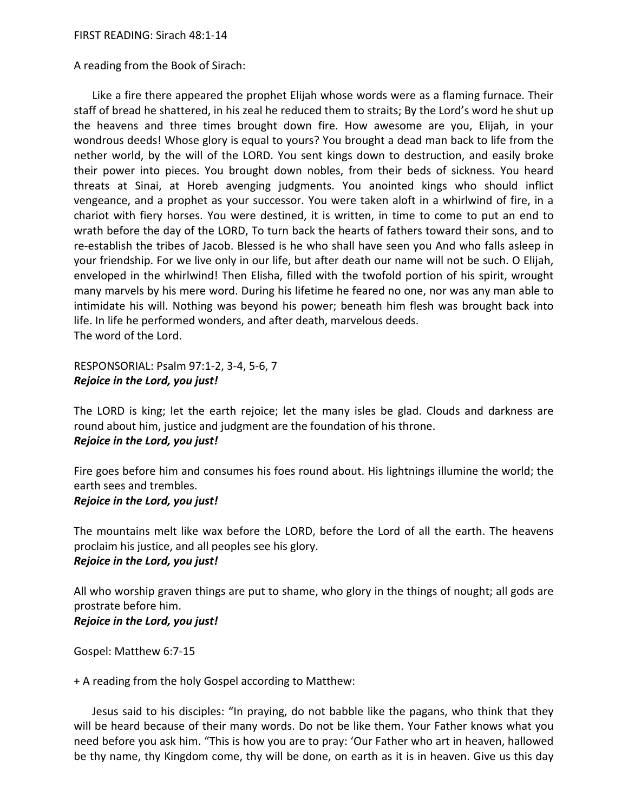A reading from the Book of Sirach:

 Like a fire there appeared the prophet Elijah whose words were as a flaming furnace. Their staff of bread he shattered, in his zeal he reduced them to straits; By the Lord's word he shut up the heavens and three times brought down fire. How awesome are you, Elijah, in your wondrous deeds! Whose glory is equal to yours? You brought a dead man back to life from the nether world, by the will of the LORD. You sent kings down to destruction, and easily broke their power into pieces. You brought down nobles, from their beds of sickness. You heard threats at Sinai, at Horeb avenging judgments. You anointed kings who should inflict vengeance, and a prophet as your successor. You were taken aloft in a whirlwind of fire, in a chariot with fiery horses. You were destined, it is written, in time to come to put an end to wrath before the day of the LORD, To turn back the hearts of fathers toward their sons, and to re-establish the tribes of Jacob. Blessed is he who shall have seen you And who falls asleep in your friendship. For we live only in our life, but after death our name will not be such. O Elijah, enveloped in the whirlwind! Then Elisha, filled with the twofold portion of his spirit, wrought many marvels by his mere word. During his lifetime he feared no one, nor was any man able to intimidate his will. Nothing was beyond his power; beneath him flesh was brought back into life. In life he performed wonders, and after death, marvelous deeds. The word of the Lord.

RESPONSORIAL: Psalm 97:1-2, 3-4, 5-6, 7 *Rejoice in the Lord, you just!* 

The LORD is king; let the earth rejoice; let the many isles be glad. Clouds and darkness are round about him, justice and judgment are the foundation of his throne. *Rejoice in the Lord, you just!* 

Fire goes before him and consumes his foes round about. His lightnings illumine the world; the earth sees and trembles.

## *Rejoice in the Lord, you just!*

The mountains melt like wax before the LORD, before the Lord of all the earth. The heavens proclaim his justice, and all peoples see his glory.

## *Rejoice in the Lord, you just!*

All who worship graven things are put to shame, who glory in the things of nought; all gods are prostrate before him. *Rejoice in the Lord, you just!* 

Gospel: Matthew 6:7-15

+ A reading from the holy Gospel according to Matthew:

 Jesus said to his disciples: "In praying, do not babble like the pagans, who think that they will be heard because of their many words. Do not be like them. Your Father knows what you need before you ask him. "This is how you are to pray: 'Our Father who art in heaven, hallowed be thy name, thy Kingdom come, thy will be done, on earth as it is in heaven. Give us this day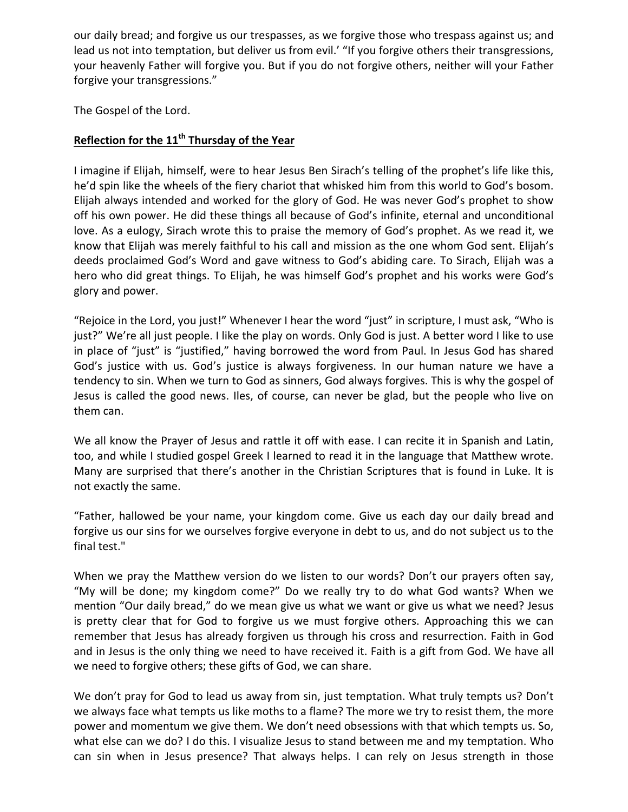our daily bread; and forgive us our trespasses, as we forgive those who trespass against us; and lead us not into temptation, but deliver us from evil.' "If you forgive others their transgressions, your heavenly Father will forgive you. But if you do not forgive others, neither will your Father forgive your transgressions."

The Gospel of the Lord.

## Reflection for the 11<sup>th</sup> Thursday of the Year

I imagine if Elijah, himself, were to hear Jesus Ben Sirach's telling of the prophet's life like this, he'd spin like the wheels of the fiery chariot that whisked him from this world to God's bosom. Elijah always intended and worked for the glory of God. He was never God's prophet to show off his own power. He did these things all because of God's infinite, eternal and unconditional love. As a eulogy, Sirach wrote this to praise the memory of God's prophet. As we read it, we know that Elijah was merely faithful to his call and mission as the one whom God sent. Elijah's deeds proclaimed God's Word and gave witness to God's abiding care. To Sirach, Elijah was a hero who did great things. To Elijah, he was himself God's prophet and his works were God's glory and power.

"Rejoice in the Lord, you just!" Whenever I hear the word "just" in scripture, I must ask, "Who is just?" We're all just people. I like the play on words. Only God is just. A better word I like to use in place of "just" is "justified," having borrowed the word from Paul. In Jesus God has shared God's justice with us. God's justice is always forgiveness. In our human nature we have a tendency to sin. When we turn to God as sinners, God always forgives. This is why the gospel of Jesus is called the good news. Iles, of course, can never be glad, but the people who live on them can.

We all know the Prayer of Jesus and rattle it off with ease. I can recite it in Spanish and Latin, too, and while I studied gospel Greek I learned to read it in the language that Matthew wrote. Many are surprised that there's another in the Christian Scriptures that is found in Luke. It is not exactly the same.

"Father, hallowed be your name, your kingdom come. Give us each day our daily bread and forgive us our sins for we ourselves forgive everyone in debt to us, and do not subject us to the final test."

When we pray the Matthew version do we listen to our words? Don't our prayers often say, "My will be done; my kingdom come?" Do we really try to do what God wants? When we mention "Our daily bread," do we mean give us what we want or give us what we need? Jesus is pretty clear that for God to forgive us we must forgive others. Approaching this we can remember that Jesus has already forgiven us through his cross and resurrection. Faith in God and in Jesus is the only thing we need to have received it. Faith is a gift from God. We have all we need to forgive others; these gifts of God, we can share.

We don't pray for God to lead us away from sin, just temptation. What truly tempts us? Don't we always face what tempts us like moths to a flame? The more we try to resist them, the more power and momentum we give them. We don't need obsessions with that which tempts us. So, what else can we do? I do this. I visualize Jesus to stand between me and my temptation. Who can sin when in Jesus presence? That always helps. I can rely on Jesus strength in those